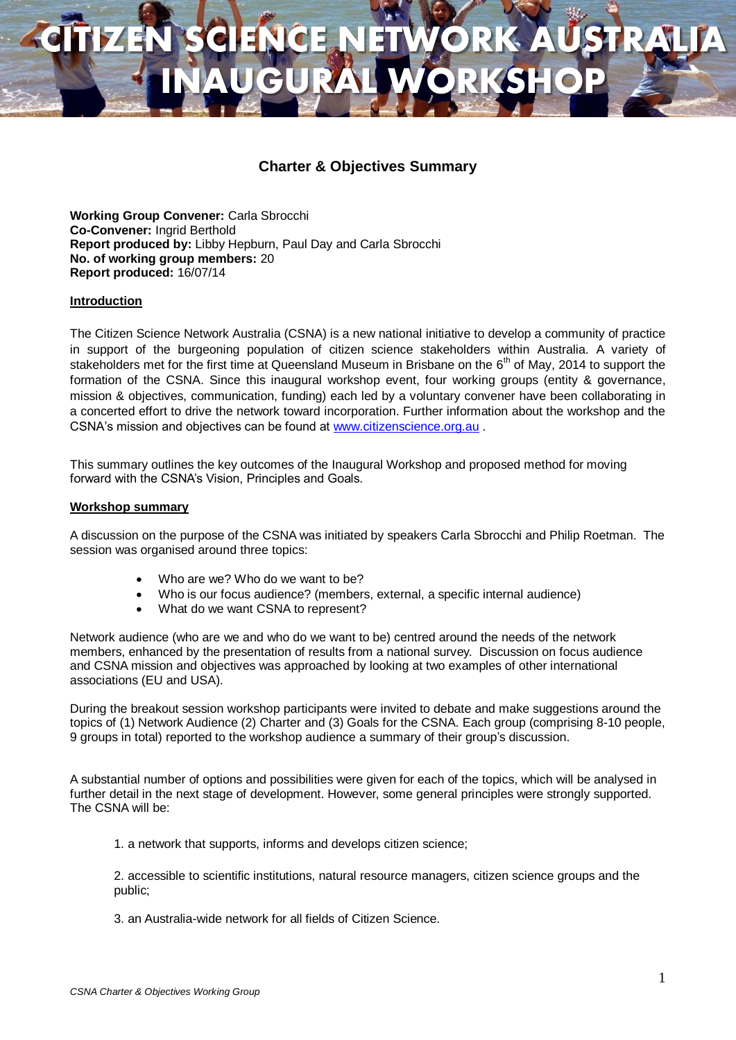# **CITIZEN SCIENCE NETWORK AUSTRALIA INAUGURAL WORKSHOP**

# **Charter & Objectives Summary**

**Working Group Convener:** Carla Sbrocchi **Co-Convener:** Ingrid Berthold **Report produced by:** Libby Hepburn, Paul Day and Carla Sbrocchi **No. of working group members:** 20 **Report produced:** 16/07/14

## **Introduction**

The Citizen Science Network Australia (CSNA) is a new national initiative to develop a community of practice in support of the burgeoning population of citizen science stakeholders within Australia. A variety of stakeholders met for the first time at Queensland Museum in Brisbane on the 6<sup>th</sup> of May, 2014 to support the formation of the CSNA. Since this inaugural workshop event, four working groups (entity & governance, mission & objectives, communication, funding) each led by a voluntary convener have been collaborating in a concerted effort to drive the network toward incorporation. Further information about the workshop and the CSNA's mission and objectives can be found at [www.citizenscience.org.au](http://www.citizenscience.org.au/) .

This summary outlines the key outcomes of the Inaugural Workshop and proposed method for moving forward with the CSNA's Vision, Principles and Goals.

#### **Workshop summary**

A discussion on the purpose of the CSNA was initiated by speakers Carla Sbrocchi and Philip Roetman. The session was organised around three topics:

- Who are we? Who do we want to be?
- Who is our focus audience? (members, external, a specific internal audience)
- What do we want CSNA to represent?

Network audience (who are we and who do we want to be) centred around the needs of the network members, enhanced by the presentation of results from a national survey. Discussion on focus audience and CSNA mission and objectives was approached by looking at two examples of other international associations (EU and USA).

During the breakout session workshop participants were invited to debate and make suggestions around the topics of (1) Network Audience (2) Charter and (3) Goals for the CSNA. Each group (comprising 8-10 people, 9 groups in total) reported to the workshop audience a summary of their group's discussion.

A substantial number of options and possibilities were given for each of the topics, which will be analysed in further detail in the next stage of development. However, some general principles were strongly supported. The CSNA will be:

1. a network that supports, informs and develops citizen science;

2. accessible to scientific institutions, natural resource managers, citizen science groups and the public;

3. an Australia-wide network for all fields of Citizen Science.